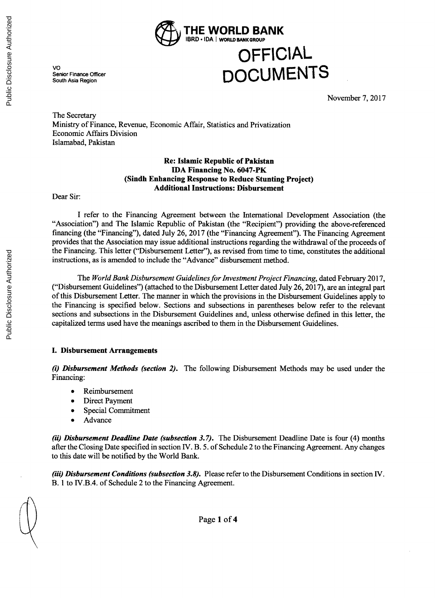

# **OFFICIAL DOCUMENTS**

VO Senior Finance South Asia Region

November **7, 2017**

The Secretary Ministry of Finance, Revenue, Economic Affair, Statistics and Privatization Economic Affairs Division Islamabad, Pakistan

## **Re: Islamic Republic of Pakistan IDA Financing No. 6047-PK (Sindh Enhancing Response to Reduce Stunting Project) Additional Instructions: Disbursement**

Dear Sir:

**I** refer to the Financing Agreement between the International Development Association (the "Association") and The Islamic Republic of Pakistan (the "Recipient") providing the above-referenced financing (the "Financing"), dated July **26, 2017** (the "Financing Agreement"). The Financing Agreement provides that the Association may issue additional instructions regarding the withdrawal of the proceeds of the Financing. This letter ("Disbursement Letter"), as revised from time to time, constitutes the additional instructions, as is amended to include the "Advance" disbursement method.

The *World Bank Disbursement Guidelines for Investment Project Financing,* dated February **2017,** ("Disbursement Guidelines") (attached to the Disbursement Letter dated July **26, 2017),** are an integral part of this Disbursement Letter. The manner in which the provisions in the Disbursement Guidelines apply to the Financing is specified below. Sections and subsections in parentheses below refer to the relevant sections and subsections in the Disbursement Guidelines and, unless otherwise defined in this letter, the capitalized terms used have the meanings ascribed to them in the Disbursement Guidelines.

#### **I. Disbursement Arrangements**

*(i) Disbursement Methods (section 2).* The following Disbursement Methods may be used under the Financing:

- **Reimbursement**
- **Direct Payment**
- Special Commitment
- **Advance**

*(ii) Disbursement Deadline Date (subsection 3.7).* The Disbursement Deadline Date is four (4) months after the Closing Date specified in section IV. B. *5. of* Schedule 2 to the Financing Agreement. Any changes to this date will be notified **by** the World Bank.

*(iii) Disbursement Conditions (subsection 3.8).* Please refer to the Disbursement Conditions in section IV. B. 1 to IV.B.4. of Schedule 2 to the Financing Agreement.

f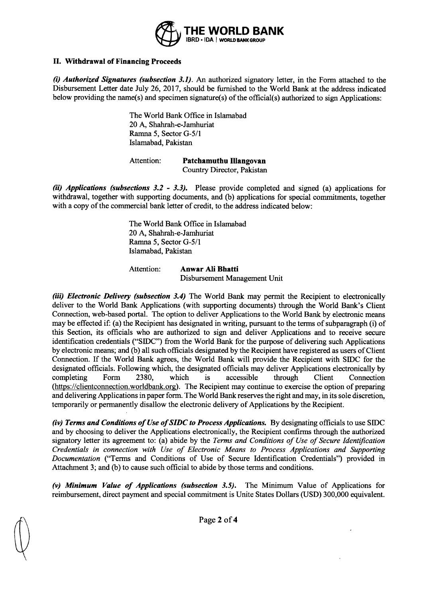

## **II. Withdrawal of Financing Proceeds**

*(i) Authorized Signatures (subsection 3.1).* An authorized signatory letter, in the Form attached to the Disbursement Letter date July **26, 2017,** should be furnished to the World Bank at the address indicated below providing the name(s) and specimen signature(s) of the official(s) authorized to sign Applications:

> The World Bank Office in Islamabad 20 **A,** Shahrah-e-Jamhuriat Ramna *5,* Sector **G-5/1** Islamabad, Pakistan

Attention: **Patchamuthu Illangovan** Country Director, Pakistan

*(ii) Applications (subsections 3.2* **-** *3.3).* Please provide completed and signed (a) applications for withdrawal, together with supporting documents, and **(b)** applications for special commitments, together with a copy of the commercial bank letter of credit, to the address indicated below:

> The World Bank Office in Islamabad 20 **A,** Shahrah-e-Jamhuriat Ramna *5,* Sector **G-5/1** Islamabad, Pakistan

Attention: **Anwar Ali Bhatti** Disbursement Management Unit

*(iii) Electronic Delivery (subsection 3.4)* The World Bank may permit the Recipient to electronically deliver to the World Bank Applications (with supporting documents) through the World Bank's Client Connection, web-based portal. The option to deliver Applications to the World Bank **by** electronic means may be effected if: (a) the Recipient has designated in writing, pursuant to the terms of subparagraph (i) of this Section, its officials who are authorized to sign and deliver Applications and to receive secure identification credentials **("SIDC")** from the World Bank for the purpose of delivering such Applications **by** electronic means; and **(b)** all such officials designated **by** the Recipient have registered as users of Client Connection. **If** the World Bank agrees, the World Bank will provide the Recipient with **SIDC** for the designated officials. Following which, the designated officials may deliver Applications electronically **by** completing Form **2380,** which is accessible through Client Connection (https://clientconnection.worldbank.org). The Recipient may continue to exercise the option of preparing and delivering Applications in paper form. The World Bank reserves the right and may, in its sole discretion, temporarily or permanently disallow the electronic delivery of Applications **by** the Recipient.

*(iv) Terms and Conditions of Use ofSIDC to Process Applications.* **By** designating officials to use **SIDC** and **by** choosing to deliver the Applications electronically, the Recipient confirms through the authorized signatory letter its agreement to: (a) abide **by** the *Terms and Conditions of Use of Secure Identification Credentials in connection with Use of Electronic Means to Process Applications and Supporting Documentation* ("Terms and Conditions of Use of Secure Identification Credentials") provided in Attachment **3;** and **(b)** to cause such official to abide **by** those terms and conditions.

*(v) Minimum Value of Applications (subsection 3.5).* The Minimum Value of Applications for reimbursement, direct payment and special commitment is Unite States Dollars **(USD) 300,000** equivalent.

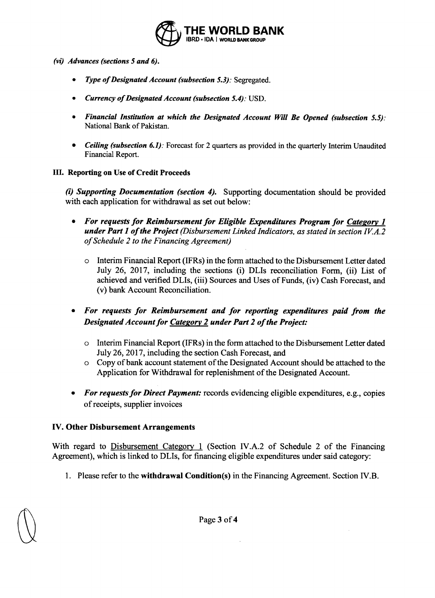

- *(vi) Advances (sections 5 and 6).*
	- *Type of Designated Account (subsection 5.3): Segregated.*
	- *\* Currency of Designated Account (subsection 5.4):* **USD.**
	- *Financial Institution at which the Designated Account Will Be Opened (subsection 5.5):* National Bank of Pakistan.
	- *\* Ceiling (subsection 6.1):* Forecast for 2 quarters as provided in the quarterly Interim Unaudited Financial Report.

# III. Reporting on Use of Credit Proceeds

*(i) Supporting Documentation (section 4).* Supporting documentation should be provided with each application for withdrawal as set out below:

- *\* For requests for Reimbursement for Eligible Expenditures Program for Category 1 under Part 1 of the Project (Disbursement Linked Indicators, as stated in section IVA.2 of Schedule 2 to the Financing Agreement)*
	- o Interim Financial Report (IFRs) in the form attached to the Disbursement Letter dated July **26, 2017,** including the sections (i) DLIs reconciliation Form, (ii) List of achieved and verified DLIs, (iii) Sources and Uses of Funds, (iv) Cash Forecast, and (v) bank Account Reconciliation.
- *\* For requests for Reimbursement and for reporting expenditures paid from the Designated Account for Category 2 under Part 2 of the Project:*
	- o Interim Financial Report (IFRs) in the form attached to the Disbursement Letter dated July **26, 2017,** including the section Cash Forecast, and
	- o Copy of bank account statement of the Designated Account should be attached to the Application for Withdrawal for replenishment of the Designated Account.
- *For requests for Direct Payment:* records evidencing eligible expenditures, e.g., copies of receipts, supplier invoices

# **IV.** Other Disbursement Arrangements

With regard to Disbursement Category **1** (Section IV.A.2 of Schedule 2 of the Financing Agreement), which is linked to DLIs, for financing eligible expenditures under said category:

**1.** Please refer to the **withdrawal Condition(s)** in the Financing Agreement. Section IV.B.